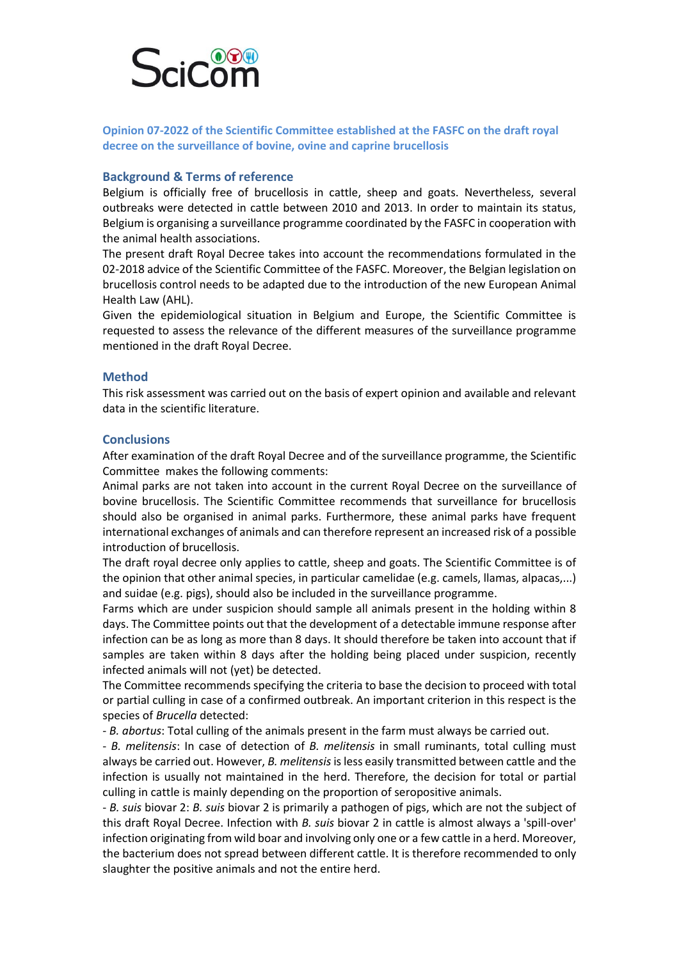

**Opinion 07-2022 of the Scientific Committee established at the FASFC on the draft royal decree on the surveillance of bovine, ovine and caprine brucellosis**

## **Background & Terms of reference**

Belgium is officially free of brucellosis in cattle, sheep and goats. Nevertheless, several outbreaks were detected in cattle between 2010 and 2013. In order to maintain its status, Belgium is organising a surveillance programme coordinated by the FASFC in cooperation with the animal health associations.

The present draft Royal Decree takes into account the recommendations formulated in the 02-2018 advice of the Scientific Committee of the FASFC. Moreover, the Belgian legislation on brucellosis control needs to be adapted due to the introduction of the new European Animal Health Law (AHL).

Given the epidemiological situation in Belgium and Europe, the Scientific Committee is requested to assess the relevance of the different measures of the surveillance programme mentioned in the draft Royal Decree.

## **Method**

This risk assessment was carried out on the basis of expert opinion and available and relevant data in the scientific literature.

## **Conclusions**

After examination of the draft Royal Decree and of the surveillance programme, the Scientific Committee makes the following comments:

Animal parks are not taken into account in the current Royal Decree on the surveillance of bovine brucellosis. The Scientific Committee recommends that surveillance for brucellosis should also be organised in animal parks. Furthermore, these animal parks have frequent international exchanges of animals and can therefore represent an increased risk of a possible introduction of brucellosis.

The draft royal decree only applies to cattle, sheep and goats. The Scientific Committee is of the opinion that other animal species, in particular camelidae (e.g. camels, llamas, alpacas,...) and suidae (e.g. pigs), should also be included in the surveillance programme.

Farms which are under suspicion should sample all animals present in the holding within 8 days. The Committee points out that the development of a detectable immune response after infection can be as long as more than 8 days. It should therefore be taken into account that if samples are taken within 8 days after the holding being placed under suspicion, recently infected animals will not (yet) be detected.

The Committee recommends specifying the criteria to base the decision to proceed with total or partial culling in case of a confirmed outbreak. An important criterion in this respect is the species of *Brucella* detected:

- *B. abortus*: Total culling of the animals present in the farm must always be carried out.

- *B. melitensis*: In case of detection of *B. melitensis* in small ruminants, total culling must always be carried out. However, *B. melitensis* is less easily transmitted between cattle and the infection is usually not maintained in the herd. Therefore, the decision for total or partial culling in cattle is mainly depending on the proportion of seropositive animals.

- *B. suis* biovar 2: *B. suis* biovar 2 is primarily a pathogen of pigs, which are not the subject of this draft Royal Decree. Infection with *B. suis* biovar 2 in cattle is almost always a 'spill-over' infection originating from wild boar and involving only one or a few cattle in a herd. Moreover, the bacterium does not spread between different cattle. It is therefore recommended to only slaughter the positive animals and not the entire herd.